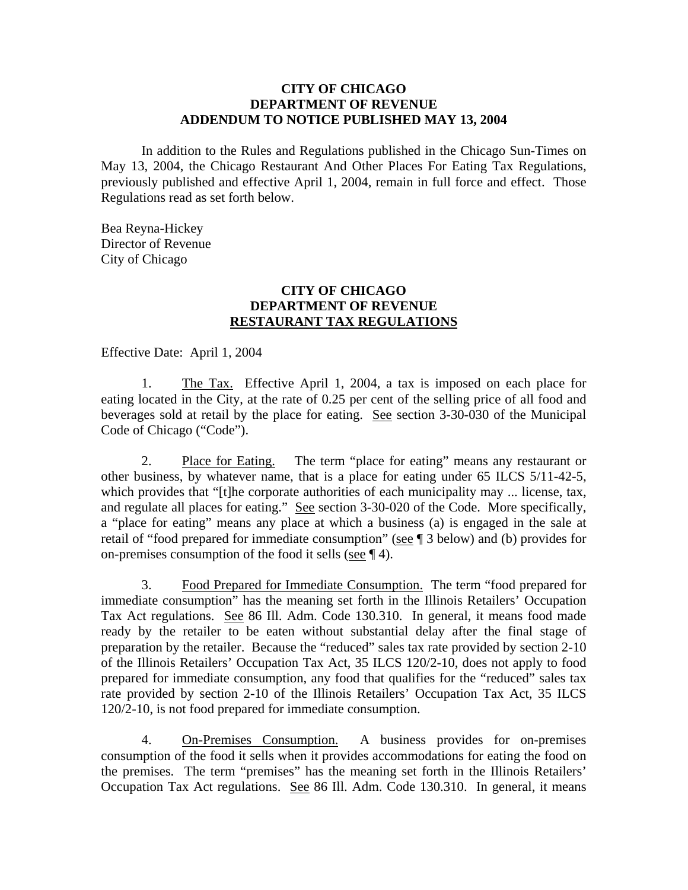## **CITY OF CHICAGO DEPARTMENT OF REVENUE ADDENDUM TO NOTICE PUBLISHED MAY 13, 2004**

In addition to the Rules and Regulations published in the Chicago Sun-Times on May 13, 2004, the Chicago Restaurant And Other Places For Eating Tax Regulations, previously published and effective April 1, 2004, remain in full force and effect. Those Regulations read as set forth below.

Bea Reyna-Hickey Director of Revenue City of Chicago

## **CITY OF CHICAGO DEPARTMENT OF REVENUE RESTAURANT TAX REGULATIONS**

Effective Date: April 1, 2004

1. The Tax. Effective April 1, 2004, a tax is imposed on each place for eating located in the City, at the rate of 0.25 per cent of the selling price of all food and beverages sold at retail by the place for eating. See section 3-30-030 of the Municipal Code of Chicago ("Code").

 2. Place for Eating. The term "place for eating" means any restaurant or other business, by whatever name, that is a place for eating under 65 ILCS 5/11-42-5, which provides that "[t]he corporate authorities of each municipality may ... license, tax, and regulate all places for eating." See section 3-30-020 of the Code. More specifically, a "place for eating" means any place at which a business (a) is engaged in the sale at retail of "food prepared for immediate consumption" (see ¶ 3 below) and (b) provides for on-premises consumption of the food it sells (see ¶ 4).

 3. Food Prepared for Immediate Consumption. The term "food prepared for immediate consumption" has the meaning set forth in the Illinois Retailers' Occupation Tax Act regulations. See 86 Ill. Adm. Code 130.310. In general, it means food made ready by the retailer to be eaten without substantial delay after the final stage of preparation by the retailer. Because the "reduced" sales tax rate provided by section 2-10 of the Illinois Retailers' Occupation Tax Act, 35 ILCS 120/2-10, does not apply to food prepared for immediate consumption, any food that qualifies for the "reduced" sales tax rate provided by section 2-10 of the Illinois Retailers' Occupation Tax Act, 35 ILCS 120/2-10, is not food prepared for immediate consumption.

 4. On-Premises Consumption. A business provides for on-premises consumption of the food it sells when it provides accommodations for eating the food on the premises. The term "premises" has the meaning set forth in the Illinois Retailers' Occupation Tax Act regulations. See 86 Ill. Adm. Code 130.310. In general, it means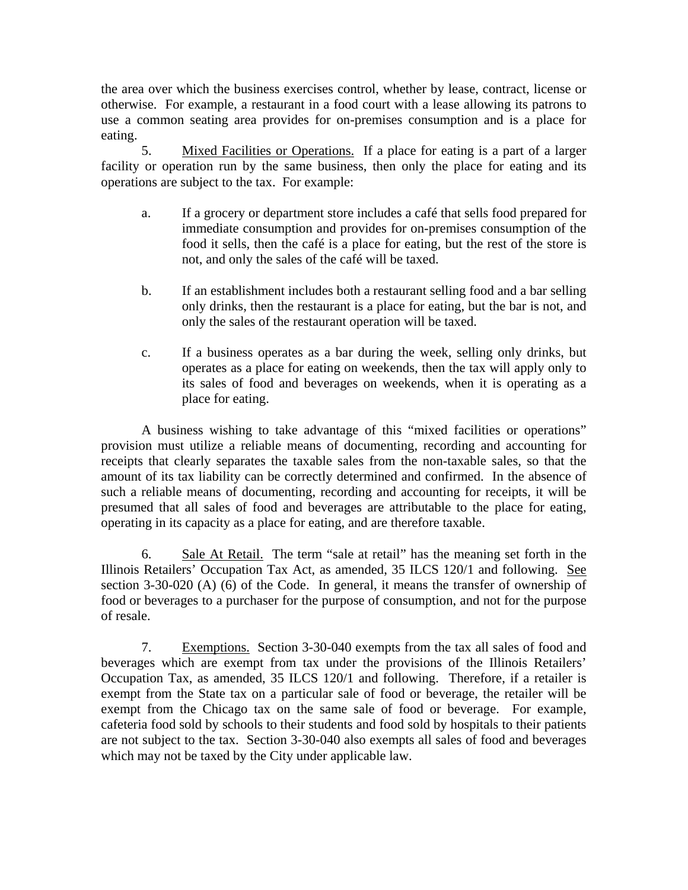the area over which the business exercises control, whether by lease, contract, license or otherwise. For example, a restaurant in a food court with a lease allowing its patrons to use a common seating area provides for on-premises consumption and is a place for eating.

 5. Mixed Facilities or Operations. If a place for eating is a part of a larger facility or operation run by the same business, then only the place for eating and its operations are subject to the tax. For example:

- a. If a grocery or department store includes a café that sells food prepared for immediate consumption and provides for on-premises consumption of the food it sells, then the café is a place for eating, but the rest of the store is not, and only the sales of the café will be taxed.
- b. If an establishment includes both a restaurant selling food and a bar selling only drinks, then the restaurant is a place for eating, but the bar is not, and only the sales of the restaurant operation will be taxed.
- c. If a business operates as a bar during the week, selling only drinks, but operates as a place for eating on weekends, then the tax will apply only to its sales of food and beverages on weekends, when it is operating as a place for eating.

 A business wishing to take advantage of this "mixed facilities or operations" provision must utilize a reliable means of documenting, recording and accounting for receipts that clearly separates the taxable sales from the non-taxable sales, so that the amount of its tax liability can be correctly determined and confirmed. In the absence of such a reliable means of documenting, recording and accounting for receipts, it will be presumed that all sales of food and beverages are attributable to the place for eating, operating in its capacity as a place for eating, and are therefore taxable.

 6. Sale At Retail. The term "sale at retail" has the meaning set forth in the Illinois Retailers' Occupation Tax Act, as amended, 35 ILCS 120/1 and following. See section 3-30-020 (A) (6) of the Code. In general, it means the transfer of ownership of food or beverages to a purchaser for the purpose of consumption, and not for the purpose of resale.

 7. Exemptions. Section 3-30-040 exempts from the tax all sales of food and beverages which are exempt from tax under the provisions of the Illinois Retailers' Occupation Tax, as amended, 35 ILCS 120/1 and following. Therefore, if a retailer is exempt from the State tax on a particular sale of food or beverage, the retailer will be exempt from the Chicago tax on the same sale of food or beverage. For example, cafeteria food sold by schools to their students and food sold by hospitals to their patients are not subject to the tax. Section 3-30-040 also exempts all sales of food and beverages which may not be taxed by the City under applicable law.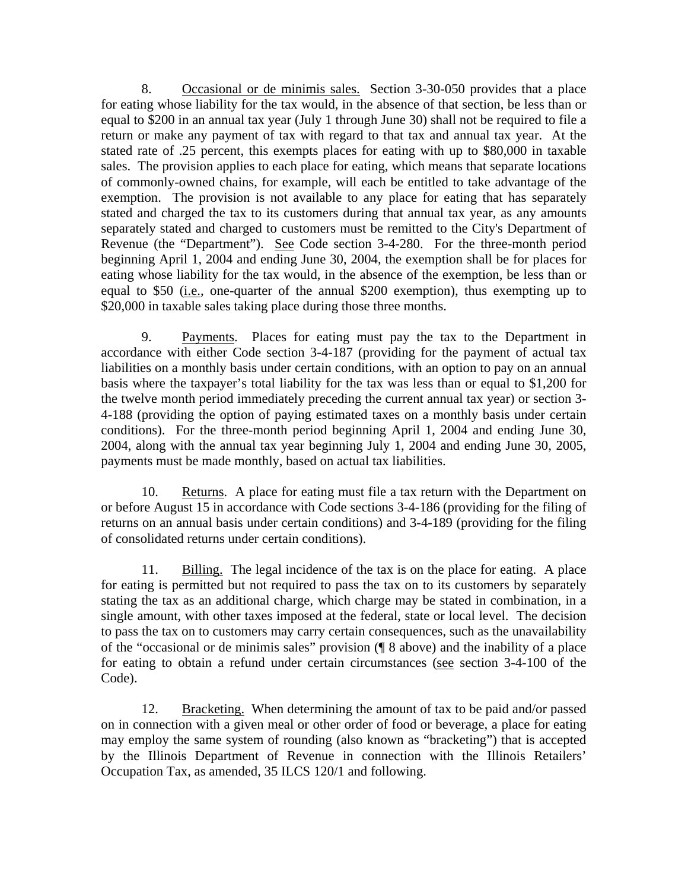8. Occasional or de minimis sales. Section 3-30-050 provides that a place for eating whose liability for the tax would, in the absence of that section, be less than or equal to \$200 in an annual tax year (July 1 through June 30) shall not be required to file a return or make any payment of tax with regard to that tax and annual tax year. At the stated rate of .25 percent, this exempts places for eating with up to \$80,000 in taxable sales. The provision applies to each place for eating, which means that separate locations of commonly-owned chains, for example, will each be entitled to take advantage of the exemption. The provision is not available to any place for eating that has separately stated and charged the tax to its customers during that annual tax year, as any amounts separately stated and charged to customers must be remitted to the City's Department of Revenue (the "Department"). See Code section 3-4-280. For the three-month period beginning April 1, 2004 and ending June 30, 2004, the exemption shall be for places for eating whose liability for the tax would, in the absence of the exemption, be less than or equal to  $$50$  (i.e., one-quarter of the annual  $$200$  exemption), thus exempting up to \$20,000 in taxable sales taking place during those three months.

 9. Payments. Places for eating must pay the tax to the Department in accordance with either Code section 3-4-187 (providing for the payment of actual tax liabilities on a monthly basis under certain conditions, with an option to pay on an annual basis where the taxpayer's total liability for the tax was less than or equal to \$1,200 for the twelve month period immediately preceding the current annual tax year) or section 3- 4-188 (providing the option of paying estimated taxes on a monthly basis under certain conditions). For the three-month period beginning April 1, 2004 and ending June 30, 2004, along with the annual tax year beginning July 1, 2004 and ending June 30, 2005, payments must be made monthly, based on actual tax liabilities.

 10. Returns. A place for eating must file a tax return with the Department on or before August 15 in accordance with Code sections 3-4-186 (providing for the filing of returns on an annual basis under certain conditions) and 3-4-189 (providing for the filing of consolidated returns under certain conditions).

 11. Billing. The legal incidence of the tax is on the place for eating. A place for eating is permitted but not required to pass the tax on to its customers by separately stating the tax as an additional charge, which charge may be stated in combination, in a single amount, with other taxes imposed at the federal, state or local level. The decision to pass the tax on to customers may carry certain consequences, such as the unavailability of the "occasional or de minimis sales" provision (¶ 8 above) and the inability of a place for eating to obtain a refund under certain circumstances (see section 3-4-100 of the Code).

 12. Bracketing. When determining the amount of tax to be paid and/or passed on in connection with a given meal or other order of food or beverage, a place for eating may employ the same system of rounding (also known as "bracketing") that is accepted by the Illinois Department of Revenue in connection with the Illinois Retailers' Occupation Tax, as amended, 35 ILCS 120/1 and following.